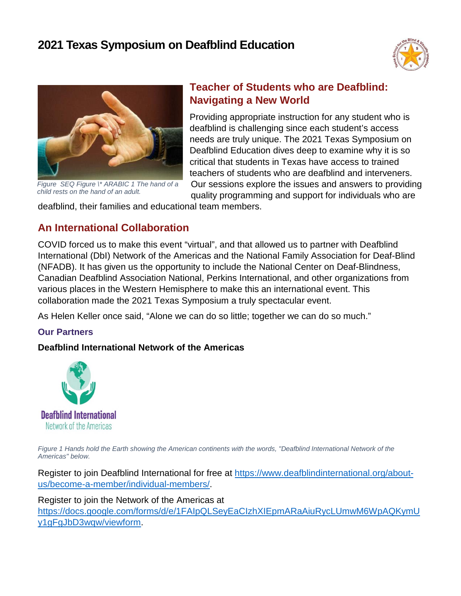



*Figure SEQ Figure \\* ARABIC 1 The hand of a child rests on the hand of an adult.*

# **Teacher of Students who are Deafblind: Navigating a New World**

Providing appropriate instruction for any student who is deafblind is challenging since each student's access needs are truly unique. The 2021 Texas Symposium on Deafblind Education dives deep to examine why it is so critical that students in Texas have access to trained teachers of students who are deafblind and interveners. Our sessions explore the issues and answers to providing quality programming and support for individuals who are

deafblind, their families and educational team members.

# **An International Collaboration**

COVID forced us to make this event "virtual", and that allowed us to partner with Deafblind International (DbI) Network of the Americas and the National Family Association for Deaf-Blind (NFADB). It has given us the opportunity to include the National Center on Deaf-Blindness, Canadian Deafblind Association National, Perkins International, and other organizations from various places in the Western Hemisphere to make this an international event. This collaboration made the 2021 Texas Symposium a truly spectacular event.

As Helen Keller once said, "Alone we can do so little; together we can do so much."

# **Our Partners**

# **Deafblind International Network of the Americas**



Figure 1 Hands hold the Earth showing the American continents with the words, "Deafblind International Network of the *Americas" below.*

Register to join Deafblind International for free at [https://www.deafblindinternational.org/about](https://www.deafblindinternational.org/about-us/become-a-member/individual-members/)[us/become-a-member/individual-members/.](https://www.deafblindinternational.org/about-us/become-a-member/individual-members/)

# Register to join the Network of the Americas at

[https://docs.google.com/forms/d/e/1FAIpQLSeyEaCIzhXIEpmARaAiuRycLUmwM6WpAQKymU](https://docs.google.com/forms/d/e/1FAIpQLSeyEaCIzhXIEpmARaAiuRycLUmwM6WpAQKymUy1gFgJbD3wqw/viewform) [y1gFgJbD3wqw/viewform.](https://docs.google.com/forms/d/e/1FAIpQLSeyEaCIzhXIEpmARaAiuRycLUmwM6WpAQKymUy1gFgJbD3wqw/viewform)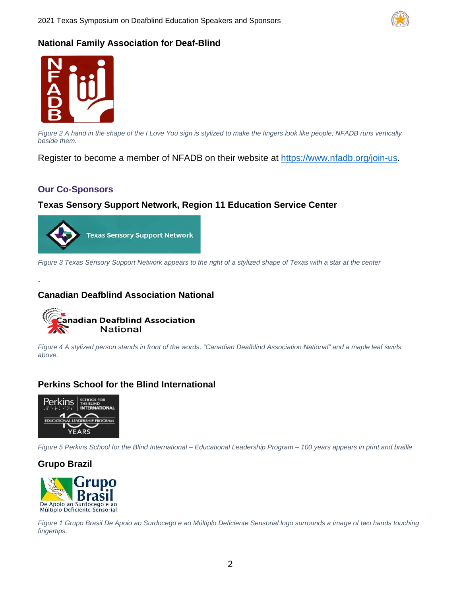

#### **National Family Association for Deaf-Blind**



*Figure 2 A hand in the shape of the I Love You sign is stylized to make the fingers look like people; NFADB runs vertically beside them.*

Register to become a member of NFADB on their website at [https://www.nfadb.org/join-us.](https://www.nfadb.org/join-us)

#### **Our Co-Sponsors**

.

#### **Texas Sensory Support Network, Region 11 Education Service Center**



*Figure 3 Texas Sensory Support Network appears to the right of a stylized shape of Texas with a star at the center* 

#### **Canadian Deafblind Association National**



*Figure 4 A stylized person stands in front of the words, "Canadian Deafblind Association National" and a maple leaf swirls above.*

#### **Perkins School for the Blind International**



*Figure 5 Perkins School for the Blind International – Educational Leadership Program – 100 years appears in print and braille.*

**Grupo Brazil**



*Figure 1 Grupo Brasil De Apoio ao Surdocego e ao Mύltiplo Deficiente Sensorial logo surrounds a image of two hands touching fingertips.*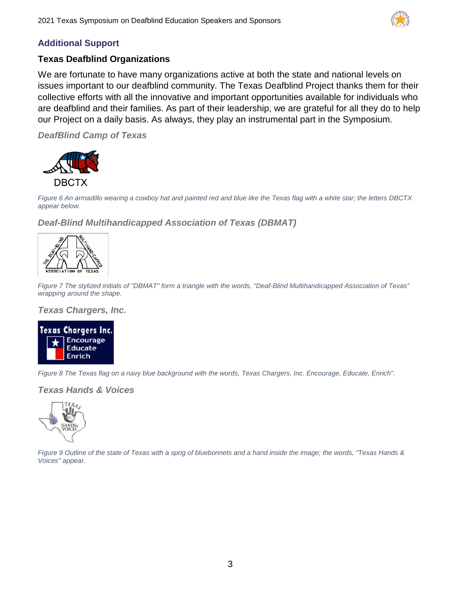

# **Additional Support**

#### **Texas Deafblind Organizations**

We are fortunate to have many organizations active at both the state and national levels on issues important to our deafblind community. The Texas Deafblind Project thanks them for their collective efforts with all the innovative and important opportunities available for individuals who are deafblind and their families. As part of their leadership, we are grateful for all they do to help our Project on a daily basis. As always, they play an instrumental part in the Symposium.

*DeafBlind Camp of Texas*



*Figure 6 An armadillo wearing a cowboy hat and painted red and blue like the Texas flag with a white star; the letters DBCTX appear below.*

*Deaf-Blind Multihandicapped Association of Texas (DBMAT)*



*Figure 7 The stylized initials of "DBMAT" form a triangle with the words, "Deaf-Blind Multihandicapped Association of Texas" wrapping around the shape.*

*Texas Chargers, Inc.* 



*Figure 8 The Texas flag on a navy blue background with the words, Texas Chargers, Inc. Encourage, Educate, Enrich".*

*Texas Hands & Voices*



*Figure 9 Outline of the state of Texas with a sprig of bluebonnets and a hand inside the image; the words, "Texas Hands & Voices" appear.*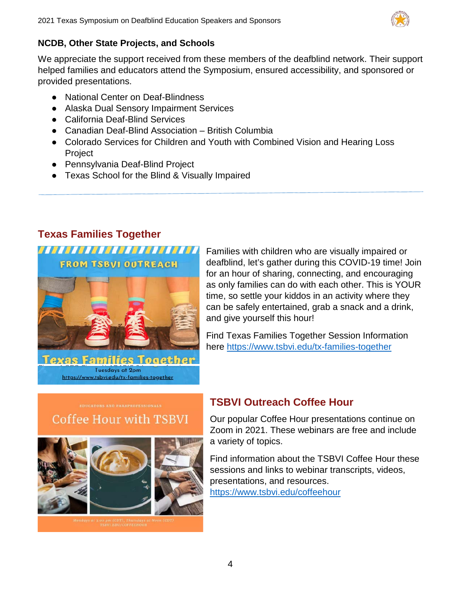

# **NCDB, Other State Projects, and Schools**

We appreciate the support received from these members of the deafblind network. Their support helped families and educators attend the Symposium, ensured accessibility, and sponsored or provided presentations.

- National Center on Deaf-Blindness
- Alaska Dual Sensory Impairment Services
- California Deaf-Blind Services
- Canadian Deaf-Blind Association British Columbia
- Colorado Services for Children and Youth with Combined Vision and Hearing Loss Project
- Pennsylvania Deaf-Blind Project
- Texas School for the Blind & Visually Impaired

# **Texas Families Together**

**FROM TSBVI OUTREACH** 



Families with children who are visually impaired or deafblind, let's gather during this COVID-19 time! Join for an hour of sharing, connecting, and encouraging as only families can do with each other. This is YOUR time, so settle your kiddos in an activity where they can be safely entertained, grab a snack and a drink, and give yourself this hour!

Find Texas Families Together Session Information here<https://www.tsbvi.edu/tx-families-together>

# Coffee Hour with TSBVI



# **TSBVI Outreach Coffee Hour**

Our popular Coffee Hour presentations continue on Zoom in 2021. These webinars are free and include a variety of topics.

Find information about the TSBVI Coffee Hour these sessions and links to webinar transcripts, videos, presentations, and resources. <https://www.tsbvi.edu/coffeehour>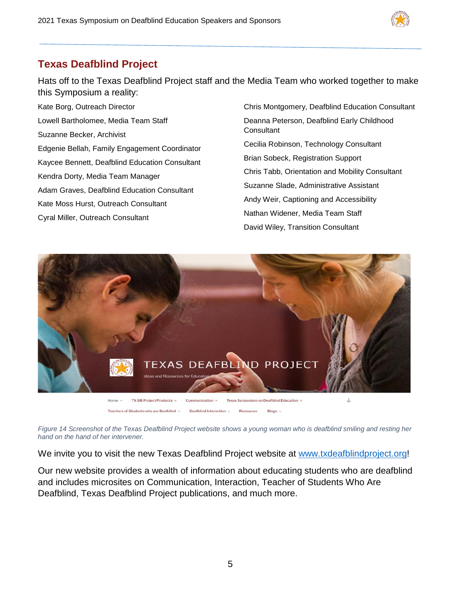

# **Texas Deafblind Project**

Hats off to the Texas Deafblind Project staff and the Media Team who worked together to make this Symposium a reality:

Kate Borg, Outreach Director Lowell Bartholomee, Media Team Staff Suzanne Becker, Archivist Edgenie Bellah, Family Engagement Coordinator Kaycee Bennett, Deafblind Education Consultant Kendra Dorty, Media Team Manager Adam Graves, Deafblind Education Consultant Kate Moss Hurst, Outreach Consultant Cyral Miller, Outreach Consultant

Chris Montgomery, Deafblind Education Consultant Deanna Peterson, Deafblind Early Childhood **Consultant** Cecilia Robinson, Technology Consultant Brian Sobeck, Registration Support Chris Tabb, Orientation and Mobility Consultant Suzanne Slade, Administrative Assistant Andy Weir, Captioning and Accessibility Nathan Widener, Media Team Staff David Wiley, Transition Consultant



*Figure 14 Screenshot of the Texas Deafblind Project website shows a young woman who is deafblind smiling and resting her hand on the hand of her intervener.*

We invite you to visit the new Texas Deafblind Project website at [www.txdeafblindproject.org!](http://www.txdeafblindproject.org/)

Our new website provides a wealth of information about educating students who are deafblind and includes microsites on Communication, Interaction, Teacher of Students Who Are Deafblind, Texas Deafblind Project publications, and much more.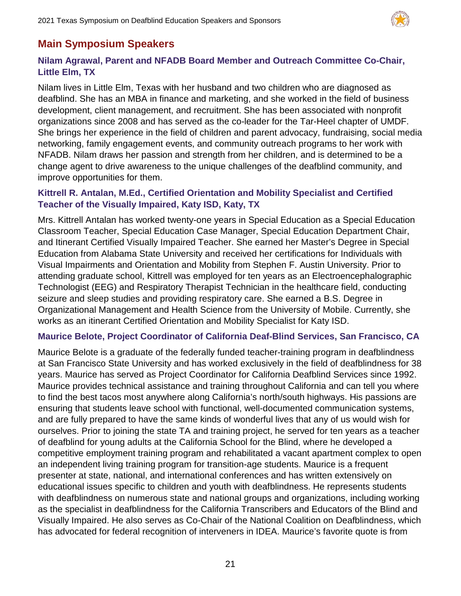

# **Main Symposium Speakers**

# **Nilam Agrawal, Parent and NFADB Board Member and Outreach Committee Co-Chair, Little Elm, TX**

Nilam lives in Little Elm, Texas with her husband and two children who are diagnosed as deafblind. She has an MBA in finance and marketing, and she worked in the field of business development, client management, and recruitment. She has been associated with nonprofit organizations since 2008 and has served as the co-leader for the Tar-Heel chapter of UMDF. She brings her experience in the field of children and parent advocacy, fundraising, social media networking, family engagement events, and community outreach programs to her work with NFADB. Nilam draws her passion and strength from her children, and is determined to be a change agent to drive awareness to the unique challenges of the deafblind community, and improve opportunities for them.

# **Kittrell R. Antalan, M.Ed., Certified Orientation and Mobility Specialist and Certified Teacher of the Visually Impaired, Katy ISD, Katy, TX**

Mrs. Kittrell Antalan has worked twenty-one years in Special Education as a Special Education Classroom Teacher, Special Education Case Manager, Special Education Department Chair, and Itinerant Certified Visually Impaired Teacher. She earned her Master's Degree in Special Education from Alabama State University and received her certifications for Individuals with Visual Impairments and Orientation and Mobility from Stephen F. Austin University. Prior to attending graduate school, Kittrell was employed for ten years as an Electroencephalographic Technologist (EEG) and Respiratory Therapist Technician in the healthcare field, conducting seizure and sleep studies and providing respiratory care. She earned a B.S. Degree in Organizational Management and Health Science from the University of Mobile. Currently, she works as an itinerant Certified Orientation and Mobility Specialist for Katy ISD.

#### **Maurice Belote, Project Coordinator of California Deaf-Blind Services, San Francisco, CA**

Maurice Belote is a graduate of the federally funded teacher-training program in deafblindness at San Francisco State University and has worked exclusively in the field of deafblindness for 38 years. Maurice has served as Project Coordinator for California Deafblind Services since 1992. Maurice provides technical assistance and training throughout California and can tell you where to find the best tacos most anywhere along California's north/south highways. His passions are ensuring that students leave school with functional, well-documented communication systems, and are fully prepared to have the same kinds of wonderful lives that any of us would wish for ourselves. Prior to joining the state TA and training project, he served for ten years as a teacher of deafblind for young adults at the California School for the Blind, where he developed a competitive employment training program and rehabilitated a vacant apartment complex to open an independent living training program for transition-age students. Maurice is a frequent presenter at state, national, and international conferences and has written extensively on educational issues specific to children and youth with deafblindness. He represents students with deafblindness on numerous state and national groups and organizations, including working as the specialist in deafblindness for the California Transcribers and Educators of the Blind and Visually Impaired. He also serves as Co-Chair of the National Coalition on Deafblindness, which has advocated for federal recognition of interveners in IDEA. Maurice's favorite quote is from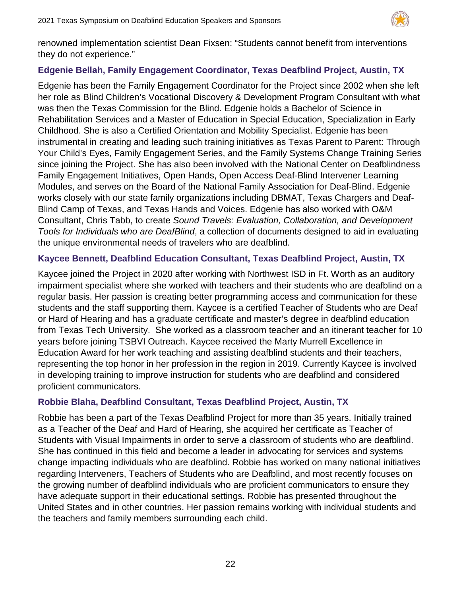

renowned implementation scientist Dean Fixsen: "Students cannot benefit from interventions they do not experience."

# **Edgenie Bellah, Family Engagement Coordinator, Texas Deafblind Project, Austin, TX**

Edgenie has been the Family Engagement Coordinator for the Project since 2002 when she left her role as Blind Children's Vocational Discovery & Development Program Consultant with what was then the Texas Commission for the Blind. Edgenie holds a Bachelor of Science in Rehabilitation Services and a Master of Education in Special Education, Specialization in Early Childhood. She is also a Certified Orientation and Mobility Specialist. Edgenie has been instrumental in creating and leading such training initiatives as Texas Parent to Parent: Through Your Child's Eyes, Family Engagement Series, and the Family Systems Change Training Series since joining the Project. She has also been involved with the National Center on Deafblindness Family Engagement Initiatives, Open Hands, Open Access Deaf-Blind Intervener Learning Modules, and serves on the Board of the National Family Association for Deaf-Blind. Edgenie works closely with our state family organizations including DBMAT, Texas Chargers and Deaf-Blind Camp of Texas, and Texas Hands and Voices. Edgenie has also worked with O&M Consultant, Chris Tabb, to create *Sound Travels: Evaluation, Collaboration, and Development Tools for Individuals who are DeafBlind*, a collection of documents designed to aid in evaluating the unique environmental needs of travelers who are deafblind.

# **Kaycee Bennett, Deafblind Education Consultant, Texas Deafblind Project, Austin, TX**

Kaycee joined the Project in 2020 after working with Northwest ISD in Ft. Worth as an auditory impairment specialist where she worked with teachers and their students who are deafblind on a regular basis. Her passion is creating better programming access and communication for these students and the staff supporting them. Kaycee is a certified Teacher of Students who are Deaf or Hard of Hearing and has a graduate certificate and master's degree in deafblind education from Texas Tech University. She worked as a classroom teacher and an itinerant teacher for 10 years before joining TSBVI Outreach. Kaycee received the Marty Murrell Excellence in Education Award for her work teaching and assisting deafblind students and their teachers, representing the top honor in her profession in the region in 2019. Currently Kaycee is involved in developing training to improve instruction for students who are deafblind and considered proficient communicators.

# **Robbie Blaha, Deafblind Consultant, Texas Deafblind Project, Austin, TX**

Robbie has been a part of the Texas Deafblind Project for more than 35 years. Initially trained as a Teacher of the Deaf and Hard of Hearing, she acquired her certificate as Teacher of Students with Visual Impairments in order to serve a classroom of students who are deafblind. She has continued in this field and become a leader in advocating for services and systems change impacting individuals who are deafblind. Robbie has worked on many national initiatives regarding Interveners, Teachers of Students who are Deafblind, and most recently focuses on the growing number of deafblind individuals who are proficient communicators to ensure they have adequate support in their educational settings. Robbie has presented throughout the United States and in other countries. Her passion remains working with individual students and the teachers and family members surrounding each child.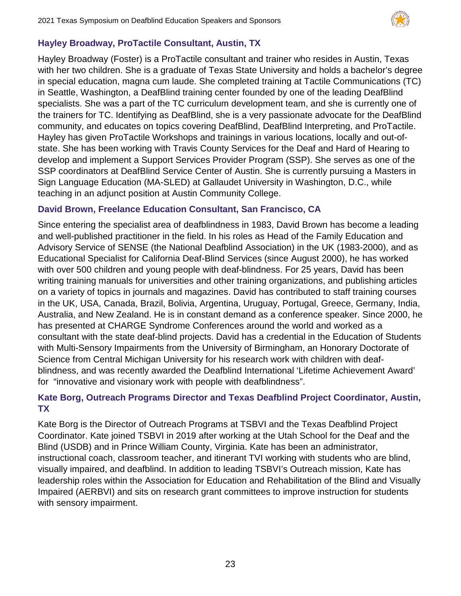

# **Hayley Broadway, ProTactile Consultant, Austin, TX**

Hayley Broadway (Foster) is a ProTactile consultant and trainer who resides in Austin, Texas with her two children. She is a graduate of Texas State University and holds a bachelor's degree in special education, magna cum laude. She completed training at Tactile Communications (TC) in Seattle, Washington, a DeafBlind training center founded by one of the leading DeafBlind specialists. She was a part of the TC curriculum development team, and she is currently one of the trainers for TC. Identifying as DeafBlind, she is a very passionate advocate for the DeafBlind community, and educates on topics covering DeafBlind, DeafBlind Interpreting, and ProTactile. Hayley has given ProTactile Workshops and trainings in various locations, locally and out-ofstate. She has been working with Travis County Services for the Deaf and Hard of Hearing to develop and implement a Support Services Provider Program (SSP). She serves as one of the SSP coordinators at DeafBlind Service Center of Austin. She is currently pursuing a Masters in Sign Language Education (MA-SLED) at Gallaudet University in Washington, D.C., while teaching in an adjunct position at Austin Community College.

#### **David Brown, Freelance Education Consultant, San Francisco, CA**

Since entering the specialist area of deafblindness in 1983, David Brown has become a leading and well-published practitioner in the field. In his roles as Head of the Family Education and Advisory Service of SENSE (the National Deafblind Association) in the UK (1983-2000), and as Educational Specialist for California Deaf-Blind Services (since August 2000), he has worked with over 500 children and young people with deaf-blindness. For 25 years, David has been writing training manuals for universities and other training organizations, and publishing articles on a variety of topics in journals and magazines. David has contributed to staff training courses in the UK, USA, Canada, Brazil, Bolivia, Argentina, Uruguay, Portugal, Greece, Germany, India, Australia, and New Zealand. He is in constant demand as a conference speaker. Since 2000, he has presented at CHARGE Syndrome Conferences around the world and worked as a consultant with the state deaf-blind projects. David has a credential in the Education of Students with Multi-Sensory Impairments from the University of Birmingham, an Honorary Doctorate of Science from Central Michigan University for his research work with children with deafblindness, and was recently awarded the Deafblind International 'Lifetime Achievement Award' for "innovative and visionary work with people with deafblindness".

# **Kate Borg, Outreach Programs Director and Texas Deafblind Project Coordinator, Austin, TX**

Kate Borg is the Director of Outreach Programs at TSBVI and the Texas Deafblind Project Coordinator. Kate joined TSBVI in 2019 after working at the Utah School for the Deaf and the Blind (USDB) and in Prince William County, Virginia. Kate has been an administrator, instructional coach, classroom teacher, and itinerant TVI working with students who are blind, visually impaired, and deafblind. In addition to leading TSBVI's Outreach mission, Kate has leadership roles within the Association for Education and Rehabilitation of the Blind and Visually Impaired (AERBVI) and sits on research grant committees to improve instruction for students with sensory impairment.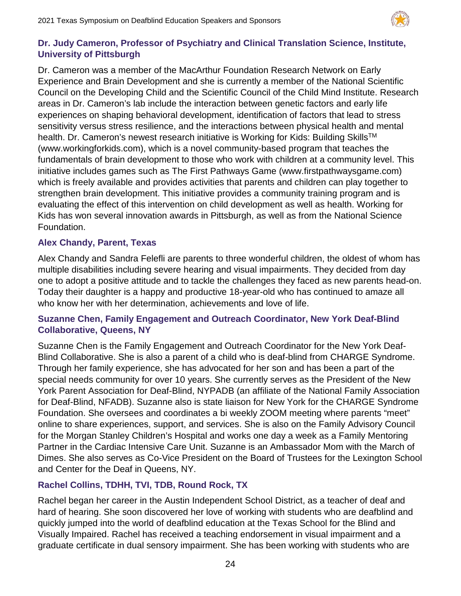

# **Dr. Judy Cameron, Professor of Psychiatry and Clinical Translation Science, Institute, University of Pittsburgh**

Dr. Cameron was a member of the MacArthur Foundation Research Network on Early Experience and Brain Development and she is currently a member of the National Scientific Council on the Developing Child and the Scientific Council of the Child Mind Institute. Research areas in Dr. Cameron's lab include the interaction between genetic factors and early life experiences on shaping behavioral development, identification of factors that lead to stress sensitivity versus stress resilience, and the interactions between physical health and mental health. Dr. Cameron's newest research initiative is Working for Kids: Building Skills<sup>™</sup> (www.workingforkids.com), which is a novel community-based program that teaches the fundamentals of brain development to those who work with children at a community level. This initiative includes games such as The First Pathways Game (www.firstpathwaysgame.com) which is freely available and provides activities that parents and children can play together to strengthen brain development. This initiative provides a community training program and is evaluating the effect of this intervention on child development as well as health. Working for Kids has won several innovation awards in Pittsburgh, as well as from the National Science Foundation.

# **Alex Chandy, Parent, Texas**

Alex Chandy and Sandra Felefli are parents to three wonderful children, the oldest of whom has multiple disabilities including severe hearing and visual impairments. They decided from day one to adopt a positive attitude and to tackle the challenges they faced as new parents head-on. Today their daughter is a happy and productive 18-year-old who has continued to amaze all who know her with her determination, achievements and love of life.

# **Suzanne Chen, Family Engagement and Outreach Coordinator, New York Deaf-Blind Collaborative, Queens, NY**

Suzanne Chen is the Family Engagement and Outreach Coordinator for the New York Deaf-Blind Collaborative. She is also a parent of a child who is deaf-blind from CHARGE Syndrome. Through her family experience, she has advocated for her son and has been a part of the special needs community for over 10 years. She currently serves as the President of the New York Parent Association for Deaf-Blind, NYPADB (an affiliate of the National Family Association for Deaf-Blind, NFADB). Suzanne also is state liaison for New York for the CHARGE Syndrome Foundation. She oversees and coordinates a bi weekly ZOOM meeting where parents "meet" online to share experiences, support, and services. She is also on the Family Advisory Council for the Morgan Stanley Children's Hospital and works one day a week as a Family Mentoring Partner in the Cardiac Intensive Care Unit. Suzanne is an Ambassador Mom with the March of Dimes. She also serves as Co-Vice President on the Board of Trustees for the Lexington School and Center for the Deaf in Queens, NY.

# **Rachel Collins, TDHH, TVI, TDB, Round Rock, TX**

Rachel began her career in the Austin Independent School District, as a teacher of deaf and hard of hearing. She soon discovered her love of working with students who are deafblind and quickly jumped into the world of deafblind education at the Texas School for the Blind and Visually Impaired. Rachel has received a teaching endorsement in visual impairment and a graduate certificate in dual sensory impairment. She has been working with students who are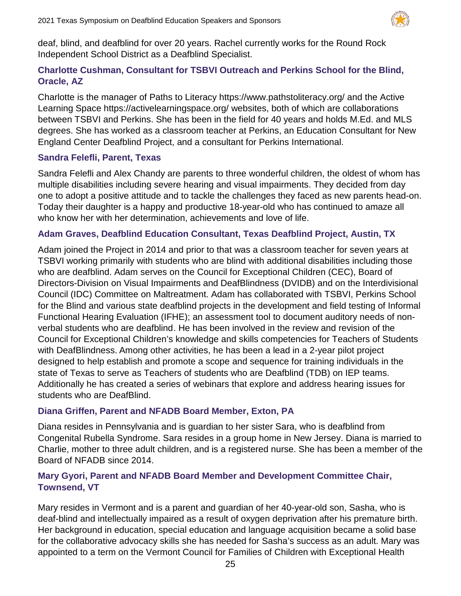

deaf, blind, and deafblind for over 20 years. Rachel currently works for the Round Rock Independent School District as a Deafblind Specialist.

# **Charlotte Cushman, Consultant for TSBVI Outreach and Perkins School for the Blind, Oracle, AZ**

Charlotte is the manager of Paths to Literacy https://www.pathstoliteracy.org/ and the Active Learning Space https://activelearningspace.org/ websites, both of which are collaborations between TSBVI and Perkins. She has been in the field for 40 years and holds M.Ed. and MLS degrees. She has worked as a classroom teacher at Perkins, an Education Consultant for New England Center Deafblind Project, and a consultant for Perkins International.

#### **Sandra Felefli, Parent, Texas**

Sandra Felefli and Alex Chandy are parents to three wonderful children, the oldest of whom has multiple disabilities including severe hearing and visual impairments. They decided from day one to adopt a positive attitude and to tackle the challenges they faced as new parents head-on. Today their daughter is a happy and productive 18-year-old who has continued to amaze all who know her with her determination, achievements and love of life.

#### **Adam Graves, Deafblind Education Consultant, Texas Deafblind Project, Austin, TX**

Adam joined the Project in 2014 and prior to that was a classroom teacher for seven years at TSBVI working primarily with students who are blind with additional disabilities including those who are deafblind. Adam serves on the Council for Exceptional Children (CEC), Board of Directors-Division on Visual Impairments and DeafBlindness (DVIDB) and on the Interdivisional Council (IDC) Committee on Maltreatment. Adam has collaborated with TSBVI, Perkins School for the Blind and various state deafblind projects in the development and field testing of Informal Functional Hearing Evaluation (IFHE); an assessment tool to document auditory needs of nonverbal students who are deafblind. He has been involved in the review and revision of the Council for Exceptional Children's knowledge and skills competencies for Teachers of Students with DeafBlindness. Among other activities, he has been a lead in a 2-year pilot project designed to help establish and promote a scope and sequence for training individuals in the state of Texas to serve as Teachers of students who are Deafblind (TDB) on IEP teams. Additionally he has created a series of webinars that explore and address hearing issues for students who are DeafBlind.

#### **Diana Griffen, Parent and NFADB Board Member, Exton, PA**

Diana resides in Pennsylvania and is guardian to her sister Sara, who is deafblind from Congenital Rubella Syndrome. Sara resides in a group home in New Jersey. Diana is married to Charlie, mother to three adult children, and is a registered nurse. She has been a member of the Board of NFADB since 2014.

# **Mary Gyori, Parent and NFADB Board Member and Development Committee Chair, Townsend, VT**

Mary resides in Vermont and is a parent and guardian of her 40-year-old son, Sasha, who is deaf-blind and intellectually impaired as a result of oxygen deprivation after his premature birth. Her background in education, special education and language acquisition became a solid base for the collaborative advocacy skills she has needed for Sasha's success as an adult. Mary was appointed to a term on the Vermont Council for Families of Children with Exceptional Health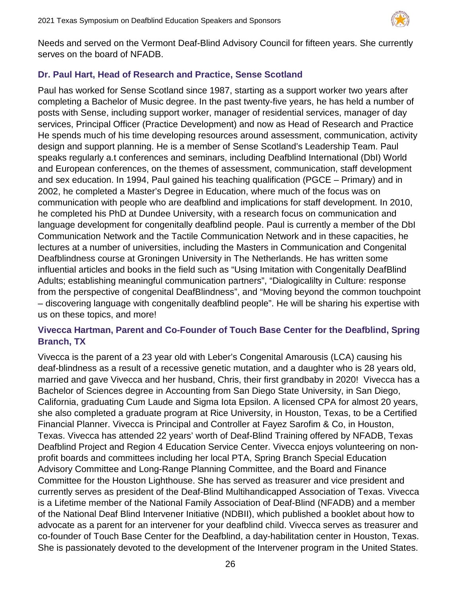

Needs and served on the Vermont Deaf-Blind Advisory Council for fifteen years. She currently serves on the board of NFADB.

# **Dr. Paul Hart, Head of Research and Practice, Sense Scotland**

Paul has worked for Sense Scotland since 1987, starting as a support worker two years after completing a Bachelor of Music degree. In the past twenty-five years, he has held a number of posts with Sense, including support worker, manager of residential services, manager of day services, Principal Officer (Practice Development) and now as Head of Research and Practice He spends much of his time developing resources around assessment, communication, activity design and support planning. He is a member of Sense Scotland's Leadership Team. Paul speaks regularly a.t conferences and seminars, including Deafblind International (DbI) World and European conferences, on the themes of assessment, communication, staff development and sex education. In 1994, Paul gained his teaching qualification (PGCE – Primary) and in 2002, he completed a Master's Degree in Education, where much of the focus was on communication with people who are deafblind and implications for staff development. In 2010, he completed his PhD at Dundee University, with a research focus on communication and language development for congenitally deafblind people. Paul is currently a member of the DbI Communication Network and the Tactile Communication Network and in these capacities, he lectures at a number of universities, including the Masters in Communication and Congenital Deafblindness course at Groningen University in The Netherlands. He has written some influential articles and books in the field such as "Using Imitation with Congenitally DeafBlind Adults; establishing meaningful communication partners", "Dialogicalilty in Culture: response from the perspective of congenital DeafBlindness", and "Moving beyond the common touchpoint – discovering language with congenitally deafblind people". He will be sharing his expertise with us on these topics, and more!

# **Vivecca Hartman, Parent and Co-Founder of Touch Base Center for the Deafblind, Spring Branch, TX**

Vivecca is the parent of a 23 year old with Leber's Congenital Amarousis (LCA) causing his deaf-blindness as a result of a recessive genetic mutation, and a daughter who is 28 years old, married and gave Vivecca and her husband, Chris, their first grandbaby in 2020! Vivecca has a Bachelor of Sciences degree in Accounting from San Diego State University, in San Diego, California, graduating Cum Laude and Sigma Iota Epsilon. A licensed CPA for almost 20 years, she also completed a graduate program at Rice University, in Houston, Texas, to be a Certified Financial Planner. Vivecca is Principal and Controller at Fayez Sarofim & Co, in Houston, Texas. Vivecca has attended 22 years' worth of Deaf-Blind Training offered by NFADB, Texas Deafblind Project and Region 4 Education Service Center. Vivecca enjoys volunteering on nonprofit boards and committees including her local PTA, Spring Branch Special Education Advisory Committee and Long-Range Planning Committee, and the Board and Finance Committee for the Houston Lighthouse. She has served as treasurer and vice president and currently serves as president of the Deaf-Blind Multihandicapped Association of Texas. Vivecca is a Lifetime member of the National Family Association of Deaf-Blind (NFADB) and a member of the National Deaf Blind Intervener Initiative (NDBII), which published a booklet about how to advocate as a parent for an intervener for your deafblind child. Vivecca serves as treasurer and co-founder of Touch Base Center for the Deafblind, a day-habilitation center in Houston, Texas. She is passionately devoted to the development of the Intervener program in the United States.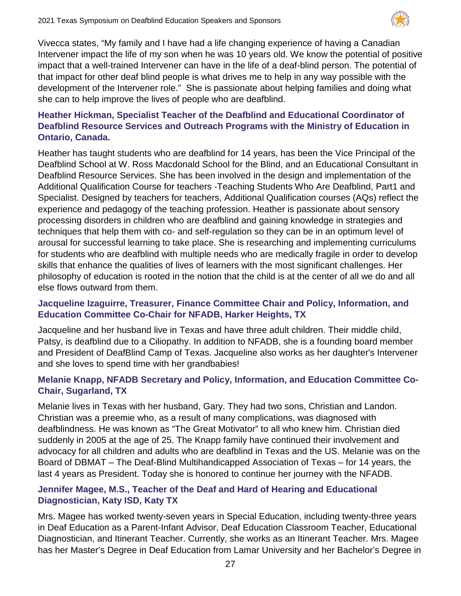

Vivecca states, "My family and I have had a life changing experience of having a Canadian Intervener impact the life of my son when he was 10 years old. We know the potential of positive impact that a well-trained Intervener can have in the life of a deaf-blind person. The potential of that impact for other deaf blind people is what drives me to help in any way possible with the development of the Intervener role." She is passionate about helping families and doing what she can to help improve the lives of people who are deafblind.

# **Heather Hickman, Specialist Teacher of the Deafblind and Educational Coordinator of Deafblind Resource Services and Outreach Programs with the Ministry of Education in Ontario, Canada.**

Heather has taught students who are deafblind for 14 years, has been the Vice Principal of the Deafblind School at W. Ross Macdonald School for the Blind, and an Educational Consultant in Deafblind Resource Services. She has been involved in the design and implementation of the Additional Qualification Course for teachers -Teaching Students Who Are Deafblind, Part1 and Specialist. Designed by teachers for teachers, Additional Qualification courses (AQs) reflect the experience and pedagogy of the teaching profession. Heather is passionate about sensory processing disorders in children who are deafblind and gaining knowledge in strategies and techniques that help them with co- and self-regulation so they can be in an optimum level of arousal for successful learning to take place. She is researching and implementing curriculums for students who are deafblind with multiple needs who are medically fragile in order to develop skills that enhance the qualities of lives of learners with the most significant challenges. Her philosophy of education is rooted in the notion that the child is at the center of all we do and all else flows outward from them.

# **Jacqueline Izaguirre, Treasurer, Finance Committee Chair and Policy, Information, and Education Committee Co-Chair for NFADB, Harker Heights, TX**

Jacqueline and her husband live in Texas and have three adult children. Their middle child, Patsy, is deafblind due to a Ciliopathy. In addition to NFADB, she is a founding board member and President of DeafBlind Camp of Texas. Jacqueline also works as her daughter's Intervener and she loves to spend time with her grandbabies!

# **Melanie Knapp, NFADB Secretary and Policy, Information, and Education Committee Co-Chair, Sugarland, TX**

Melanie lives in Texas with her husband, Gary. They had two sons, Christian and Landon. Christian was a preemie who, as a result of many complications, was diagnosed with deafblindness. He was known as "The Great Motivator" to all who knew him. Christian died suddenly in 2005 at the age of 25. The Knapp family have continued their involvement and advocacy for all children and adults who are deafblind in Texas and the US. Melanie was on the Board of DBMAT – The Deaf-Blind Multihandicapped Association of Texas – for 14 years, the last 4 years as President. Today she is honored to continue her journey with the NFADB.

# **Jennifer Magee, M.S., Teacher of the Deaf and Hard of Hearing and Educational Diagnostician, Katy ISD, Katy TX**

Mrs. Magee has worked twenty-seven years in Special Education, including twenty-three years in Deaf Education as a Parent-Infant Advisor, Deaf Education Classroom Teacher, Educational Diagnostician, and Itinerant Teacher. Currently, she works as an Itinerant Teacher. Mrs. Magee has her Master's Degree in Deaf Education from Lamar University and her Bachelor's Degree in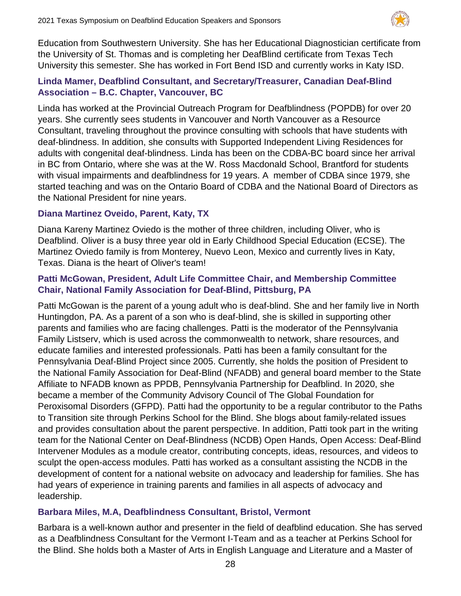

Education from Southwestern University. She has her Educational Diagnostician certificate from the University of St. Thomas and is completing her DeafBlind certificate from Texas Tech University this semester. She has worked in Fort Bend ISD and currently works in Katy ISD.

# **Linda Mamer, Deafblind Consultant, and Secretary/Treasurer, Canadian Deaf-Blind Association – B.C. Chapter, Vancouver, BC**

Linda has worked at the Provincial Outreach Program for Deafblindness (POPDB) for over 20 years. She currently sees students in Vancouver and North Vancouver as a Resource Consultant, traveling throughout the province consulting with schools that have students with deaf-blindness. In addition, she consults with Supported Independent Living Residences for adults with congenital deaf-blindness. Linda has been on the CDBA-BC board since her arrival in BC from Ontario, where she was at the W. Ross Macdonald School, Brantford for students with visual impairments and deafblindness for 19 years. A member of CDBA since 1979, she started teaching and was on the Ontario Board of CDBA and the National Board of Directors as the National President for nine years.

# **Diana Martinez Oveido, Parent, Katy, TX**

Diana Kareny Martinez Oviedo is the mother of three children, including Oliver, who is Deafblind. Oliver is a busy three year old in Early Childhood Special Education (ECSE). The Martinez Oviedo family is from Monterey, Nuevo Leon, Mexico and currently lives in Katy, Texas. Diana is the heart of Oliver's team!

# **Patti McGowan, President, Adult Life Committee Chair, and Membership Committee Chair, National Family Association for Deaf-Blind, Pittsburg, PA**

Patti McGowan is the parent of a young adult who is deaf-blind. She and her family live in North Huntingdon, PA. As a parent of a son who is deaf-blind, she is skilled in supporting other parents and families who are facing challenges. Patti is the moderator of the Pennsylvania Family Listserv, which is used across the commonwealth to network, share resources, and educate families and interested professionals. Patti has been a family consultant for the Pennsylvania Deaf-Blind Project since 2005. Currently, she holds the position of President to the National Family Association for Deaf-Blind (NFADB) and general board member to the State Affiliate to NFADB known as PPDB, Pennsylvania Partnership for Deafblind. In 2020, she became a member of the Community Advisory Council of The Global Foundation for Peroxisomal Disorders (GFPD). Patti had the opportunity to be a regular contributor to the Paths to Transition site through Perkins School for the Blind. She blogs about family-related issues and provides consultation about the parent perspective. In addition, Patti took part in the writing team for the National Center on Deaf-Blindness (NCDB) Open Hands, Open Access: Deaf-Blind Intervener Modules as a module creator, contributing concepts, ideas, resources, and videos to sculpt the open-access modules. Patti has worked as a consultant assisting the NCDB in the development of content for a national website on advocacy and leadership for families. She has had years of experience in training parents and families in all aspects of advocacy and leadership.

# **Barbara Miles, M.A, Deafblindness Consultant, Bristol, Vermont**

Barbara is a well-known author and presenter in the field of deafblind education. She has served as a Deafblindness Consultant for the Vermont I-Team and as a teacher at Perkins School for the Blind. She holds both a Master of Arts in English Language and Literature and a Master of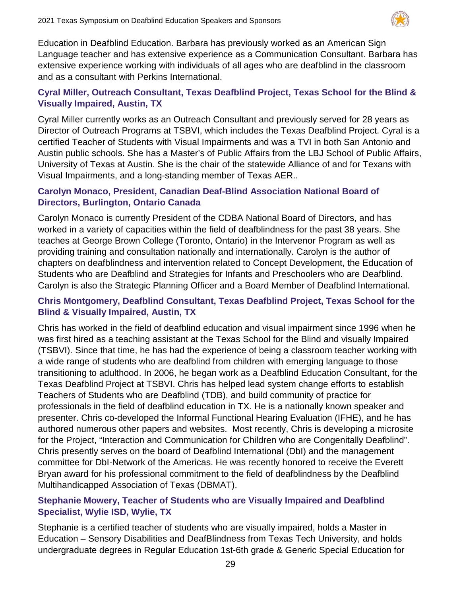

Education in Deafblind Education. Barbara has previously worked as an American Sign Language teacher and has extensive experience as a Communication Consultant. Barbara has extensive experience working with individuals of all ages who are deafblind in the classroom and as a consultant with Perkins International.

# **Cyral Miller, Outreach Consultant, Texas Deafblind Project, Texas School for the Blind & Visually Impaired, Austin, TX**

Cyral Miller currently works as an Outreach Consultant and previously served for 28 years as Director of Outreach Programs at TSBVI, which includes the Texas Deafblind Project. Cyral is a certified Teacher of Students with Visual Impairments and was a TVI in both San Antonio and Austin public schools. She has a Master's of Public Affairs from the LBJ School of Public Affairs, University of Texas at Austin. She is the chair of the statewide Alliance of and for Texans with Visual Impairments, and a long-standing member of Texas AER..

#### **Carolyn Monaco, President, Canadian Deaf-Blind Association National Board of Directors, Burlington, Ontario Canada**

Carolyn Monaco is currently President of the CDBA National Board of Directors, and has worked in a variety of capacities within the field of deafblindness for the past 38 years. She teaches at George Brown College (Toronto, Ontario) in the Intervenor Program as well as providing training and consultation nationally and internationally. Carolyn is the author of chapters on deafblindness and intervention related to Concept Development, the Education of Students who are Deafblind and Strategies for Infants and Preschoolers who are Deafblind. Carolyn is also the Strategic Planning Officer and a Board Member of Deafblind International.

# **Chris Montgomery, Deafblind Consultant, Texas Deafblind Project, Texas School for the Blind & Visually Impaired, Austin, TX**

Chris has worked in the field of deafblind education and visual impairment since 1996 when he was first hired as a teaching assistant at the Texas School for the Blind and visually Impaired (TSBVI). Since that time, he has had the experience of being a classroom teacher working with a wide range of students who are deafblind from children with emerging language to those transitioning to adulthood. In 2006, he began work as a Deafblind Education Consultant, for the Texas Deafblind Project at TSBVI. Chris has helped lead system change efforts to establish Teachers of Students who are Deafblind (TDB), and build community of practice for professionals in the field of deafblind education in TX. He is a nationally known speaker and presenter. Chris co-developed the Informal Functional Hearing Evaluation (IFHE), and he has authored numerous other papers and websites. Most recently, Chris is developing a microsite for the Project, "Interaction and Communication for Children who are Congenitally Deafblind". Chris presently serves on the board of Deafblind International (DbI) and the management committee for DbI-Network of the Americas. He was recently honored to receive the Everett Bryan award for his professional commitment to the field of deafblindness by the Deafblind Multihandicapped Association of Texas (DBMAT).

# **Stephanie Mowery, Teacher of Students who are Visually Impaired and Deafblind Specialist, Wylie ISD, Wylie, TX**

Stephanie is a certified teacher of students who are visually impaired, holds a Master in Education – Sensory Disabilities and DeafBlindness from Texas Tech University, and holds undergraduate degrees in Regular Education 1st-6th grade & Generic Special Education for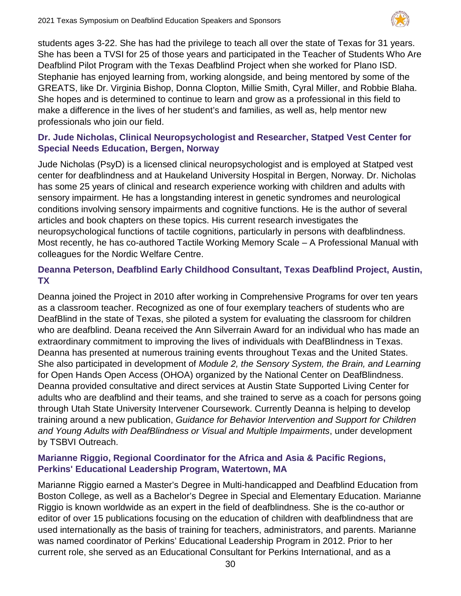

students ages 3-22. She has had the privilege to teach all over the state of Texas for 31 years. She has been a TVSI for 25 of those years and participated in the Teacher of Students Who Are Deafblind Pilot Program with the Texas Deafblind Project when she worked for Plano ISD. Stephanie has enjoyed learning from, working alongside, and being mentored by some of the GREATS, like Dr. Virginia Bishop, Donna Clopton, Millie Smith, Cyral Miller, and Robbie Blaha. She hopes and is determined to continue to learn and grow as a professional in this field to make a difference in the lives of her student's and families, as well as, help mentor new professionals who join our field.

# **Dr. Jude Nicholas, Clinical Neuropsychologist and Researcher, Statped Vest Center for Special Needs Education, Bergen, Norway**

Jude Nicholas (PsyD) is a licensed clinical neuropsychologist and is employed at Statped vest center for deafblindness and at Haukeland University Hospital in Bergen, Norway. Dr. Nicholas has some 25 years of clinical and research experience working with children and adults with sensory impairment. He has a longstanding interest in genetic syndromes and neurological conditions involving sensory impairments and cognitive functions. He is the author of several articles and book chapters on these topics. His current research investigates the neuropsychological functions of tactile cognitions, particularly in persons with deafblindness. Most recently, he has co-authored Tactile Working Memory Scale – A Professional Manual with colleagues for the Nordic Welfare Centre.

# **Deanna Peterson, Deafblind Early Childhood Consultant, Texas Deafblind Project, Austin, TX**

Deanna joined the Project in 2010 after working in Comprehensive Programs for over ten years as a classroom teacher. Recognized as one of four exemplary teachers of students who are DeafBlind in the state of Texas, she piloted a system for evaluating the classroom for children who are deafblind. Deana received the Ann Silverrain Award for an individual who has made an extraordinary commitment to improving the lives of individuals with DeafBlindness in Texas. Deanna has presented at numerous training events throughout Texas and the United States. She also participated in development of *Module 2, the Sensory System, the Brain, and Learning* for Open Hands Open Access (OHOA) organized by the National Center on DeafBlindness. Deanna provided consultative and direct services at Austin State Supported Living Center for adults who are deafblind and their teams, and she trained to serve as a coach for persons going through Utah State University Intervener Coursework. Currently Deanna is helping to develop training around a new publication, *Guidance for Behavior Intervention and Support for Children and Young Adults with DeafBlindness or Visual and Multiple Impairments*, under development by TSBVI Outreach.

#### **Marianne Riggio, Regional Coordinator for the Africa and Asia & Pacific Regions, Perkins' Educational Leadership Program, Watertown, MA**

Marianne Riggio earned a Master's Degree in Multi-handicapped and Deafblind Education from Boston College, as well as a Bachelor's Degree in Special and Elementary Education. Marianne Riggio is known worldwide as an expert in the field of deafblindness. She is the co-author or editor of over 15 publications focusing on the education of children with deafblindness that are used internationally as the basis of training for teachers, administrators, and parents. Marianne was named coordinator of Perkins' Educational Leadership Program in 2012. Prior to her current role, she served as an Educational Consultant for Perkins International, and as a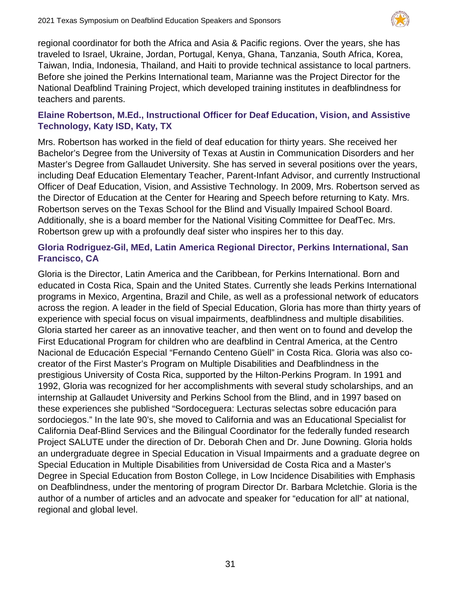

regional coordinator for both the Africa and Asia & Pacific regions. Over the years, she has traveled to Israel, Ukraine, Jordan, Portugal, Kenya, Ghana, Tanzania, South Africa, Korea, Taiwan, India, Indonesia, Thailand, and Haiti to provide technical assistance to local partners. Before she joined the Perkins International team, Marianne was the Project Director for the National Deafblind Training Project, which developed training institutes in deafblindness for teachers and parents.

# **Elaine Robertson, M.Ed., Instructional Officer for Deaf Education, Vision, and Assistive Technology, Katy ISD, Katy, TX**

Mrs. Robertson has worked in the field of deaf education for thirty years. She received her Bachelor's Degree from the University of Texas at Austin in Communication Disorders and her Master's Degree from Gallaudet University. She has served in several positions over the years, including Deaf Education Elementary Teacher, Parent-Infant Advisor, and currently Instructional Officer of Deaf Education, Vision, and Assistive Technology. In 2009, Mrs. Robertson served as the Director of Education at the Center for Hearing and Speech before returning to Katy. Mrs. Robertson serves on the Texas School for the Blind and Visually Impaired School Board. Additionally, she is a board member for the National Visiting Committee for DeafTec. Mrs. Robertson grew up with a profoundly deaf sister who inspires her to this day.

# **Gloria Rodriguez-Gil, MEd, Latin America Regional Director, Perkins International, San Francisco, CA**

Gloria is the Director, Latin America and the Caribbean, for Perkins International. Born and educated in Costa Rica, Spain and the United States. Currently she leads Perkins International programs in Mexico, Argentina, Brazil and Chile, as well as a professional network of educators across the region. A leader in the field of Special Education, Gloria has more than thirty years of experience with special focus on visual impairments, deafblindness and multiple disabilities. Gloria started her career as an innovative teacher, and then went on to found and develop the First Educational Program for children who are deafblind in Central America, at the Centro Nacional de Educación Especial "Fernando Centeno Güell" in Costa Rica. Gloria was also cocreator of the First Master's Program on Multiple Disabilities and Deafblindness in the prestigious University of Costa Rica, supported by the Hilton-Perkins Program. In 1991 and 1992, Gloria was recognized for her accomplishments with several study scholarships, and an internship at Gallaudet University and Perkins School from the Blind, and in 1997 based on these experiences she published "Sordoceguera: Lecturas selectas sobre educación para sordociegos." In the late 90's, she moved to California and was an Educational Specialist for California Deaf-Blind Services and the Bilingual Coordinator for the federally funded research Project SALUTE under the direction of Dr. Deborah Chen and Dr. June Downing. Gloria holds an undergraduate degree in Special Education in Visual Impairments and a graduate degree on Special Education in Multiple Disabilities from Universidad de Costa Rica and a Master's Degree in Special Education from Boston College, in Low Incidence Disabilities with Emphasis on Deafblindness, under the mentoring of program Director Dr. Barbara Mcletchie. Gloria is the author of a number of articles and an advocate and speaker for "education for all" at national, regional and global level.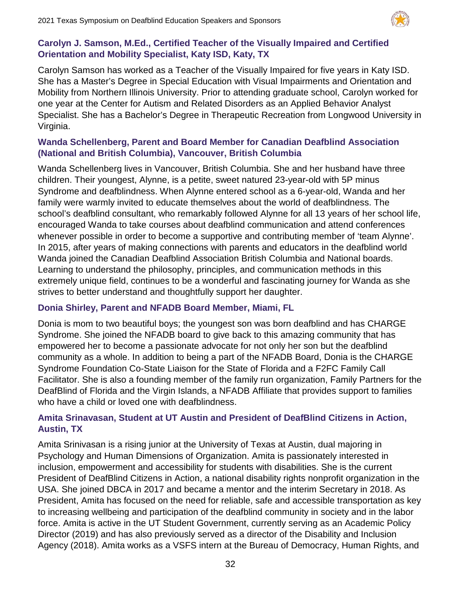

## **Carolyn J. Samson, M.Ed., Certified Teacher of the Visually Impaired and Certified Orientation and Mobility Specialist, Katy ISD, Katy, TX**

Carolyn Samson has worked as a Teacher of the Visually Impaired for five years in Katy ISD. She has a Master's Degree in Special Education with Visual Impairments and Orientation and Mobility from Northern Illinois University. Prior to attending graduate school, Carolyn worked for one year at the Center for Autism and Related Disorders as an Applied Behavior Analyst Specialist. She has a Bachelor's Degree in Therapeutic Recreation from Longwood University in Virginia.

# **Wanda Schellenberg, Parent and Board Member for Canadian Deafblind Association (National and British Columbia), Vancouver, British Columbia**

Wanda Schellenberg lives in Vancouver, British Columbia. She and her husband have three children. Their youngest, Alynne, is a petite, sweet natured 23-year-old with 5P minus Syndrome and deafblindness. When Alynne entered school as a 6-year-old, Wanda and her family were warmly invited to educate themselves about the world of deafblindness. The school's deafblind consultant, who remarkably followed Alynne for all 13 years of her school life, encouraged Wanda to take courses about deafblind communication and attend conferences whenever possible in order to become a supportive and contributing member of 'team Alynne'. In 2015, after years of making connections with parents and educators in the deafblind world Wanda joined the Canadian Deafblind Association British Columbia and National boards. Learning to understand the philosophy, principles, and communication methods in this extremely unique field, continues to be a wonderful and fascinating journey for Wanda as she strives to better understand and thoughtfully support her daughter.

# **Donia Shirley, Parent and NFADB Board Member, Miami, FL**

Donia is mom to two beautiful boys; the youngest son was born deafblind and has CHARGE Syndrome. She joined the NFADB board to give back to this amazing community that has empowered her to become a passionate advocate for not only her son but the deafblind community as a whole. In addition to being a part of the NFADB Board, Donia is the CHARGE Syndrome Foundation Co-State Liaison for the State of Florida and a F2FC Family Call Facilitator. She is also a founding member of the family run organization, Family Partners for the DeafBlind of Florida and the Virgin Islands, a NFADB Affiliate that provides support to families who have a child or loved one with deafblindness.

# **Amita Srinavasan, Student at UT Austin and President of DeafBlind Citizens in Action, Austin, TX**

Amita Srinivasan is a rising junior at the University of Texas at Austin, dual majoring in Psychology and Human Dimensions of Organization. Amita is passionately interested in inclusion, empowerment and accessibility for students with disabilities. She is the current President of DeafBlind Citizens in Action, a national disability rights nonprofit organization in the USA. She joined DBCA in 2017 and became a mentor and the interim Secretary in 2018. As President, Amita has focused on the need for reliable, safe and accessible transportation as key to increasing wellbeing and participation of the deafblind community in society and in the labor force. Amita is active in the UT Student Government, currently serving as an Academic Policy Director (2019) and has also previously served as a director of the Disability and Inclusion Agency (2018). Amita works as a VSFS intern at the Bureau of Democracy, Human Rights, and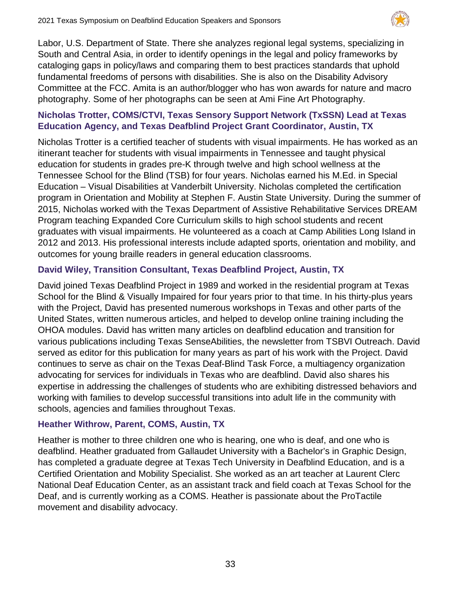

Labor, U.S. Department of State. There she analyzes regional legal systems, specializing in South and Central Asia, in order to identify openings in the legal and policy frameworks by cataloging gaps in policy/laws and comparing them to best practices standards that uphold fundamental freedoms of persons with disabilities. She is also on the Disability Advisory Committee at the FCC. Amita is an author/blogger who has won awards for nature and macro photography. Some of her photographs can be seen at Ami Fine Art Photography.

# **Nicholas Trotter, COMS/CTVI, Texas Sensory Support Network (TxSSN) Lead at Texas Education Agency, and Texas Deafblind Project Grant Coordinator, Austin, TX**

Nicholas Trotter is a certified teacher of students with visual impairments. He has worked as an itinerant teacher for students with visual impairments in Tennessee and taught physical education for students in grades pre-K through twelve and high school wellness at the Tennessee School for the Blind (TSB) for four years. Nicholas earned his M.Ed. in Special Education – Visual Disabilities at Vanderbilt University. Nicholas completed the certification program in Orientation and Mobility at Stephen F. Austin State University. During the summer of 2015, Nicholas worked with the Texas Department of Assistive Rehabilitative Services DREAM Program teaching Expanded Core Curriculum skills to high school students and recent graduates with visual impairments. He volunteered as a coach at Camp Abilities Long Island in 2012 and 2013. His professional interests include adapted sports, orientation and mobility, and outcomes for young braille readers in general education classrooms.

# **David Wiley, Transition Consultant, Texas Deafblind Project, Austin, TX**

David joined Texas Deafblind Project in 1989 and worked in the residential program at Texas School for the Blind & Visually Impaired for four years prior to that time. In his thirty-plus years with the Project, David has presented numerous workshops in Texas and other parts of the United States, written numerous articles, and helped to develop online training including the OHOA modules. David has written many articles on deafblind education and transition for various publications including Texas SenseAbilities, the newsletter from TSBVI Outreach. David served as editor for this publication for many years as part of his work with the Project. David continues to serve as chair on the Texas Deaf-Blind Task Force, a multiagency organization advocating for services for individuals in Texas who are deafblind. David also shares his expertise in addressing the challenges of students who are exhibiting distressed behaviors and working with families to develop successful transitions into adult life in the community with schools, agencies and families throughout Texas.

# **Heather Withrow, Parent, COMS, Austin, TX**

Heather is mother to three children one who is hearing, one who is deaf, and one who is deafblind. Heather graduated from Gallaudet University with a Bachelor's in Graphic Design, has completed a graduate degree at Texas Tech University in Deafblind Education, and is a Certified Orientation and Mobility Specialist. She worked as an art teacher at Laurent Clerc National Deaf Education Center, as an assistant track and field coach at Texas School for the Deaf, and is currently working as a COMS. Heather is passionate about the ProTactile movement and disability advocacy.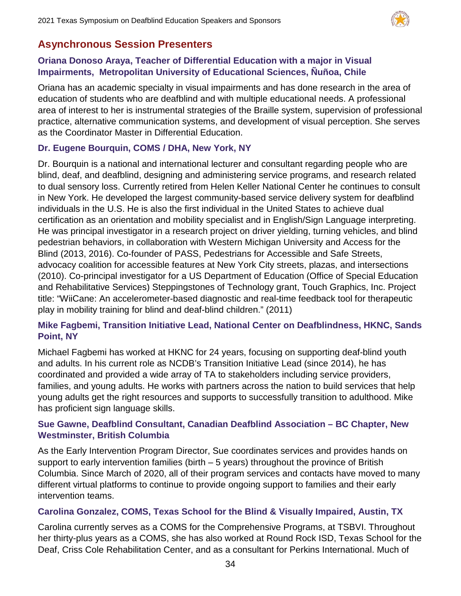

# **Asynchronous Session Presenters**

# **Oriana Donoso Araya, Teacher of Differential Education with a major in Visual Impairments, Metropolitan University of Educational Sciences, Ñuñoa, Chile**

Oriana has an academic specialty in visual impairments and has done research in the area of education of students who are deafblind and with multiple educational needs. A professional area of interest to her is instrumental strategies of the Braille system, supervision of professional practice, alternative communication systems, and development of visual perception. She serves as the Coordinator Master in Differential Education.

# **Dr. Eugene Bourquin, COMS / DHA, New York, NY**

Dr. Bourquin is a national and international lecturer and consultant regarding people who are blind, deaf, and deafblind, designing and administering service programs, and research related to dual sensory loss. Currently retired from Helen Keller National Center he continues to consult in New York. He developed the largest community-based service delivery system for deafblind individuals in the U.S. He is also the first individual in the United States to achieve dual certification as an orientation and mobility specialist and in English/Sign Language interpreting. He was principal investigator in a research project on driver yielding, turning vehicles, and blind pedestrian behaviors, in collaboration with Western Michigan University and Access for the Blind (2013, 2016). Co-founder of PASS, Pedestrians for Accessible and Safe Streets, advocacy coalition for accessible features at New York City streets, plazas, and intersections (2010). Co-principal investigator for a US Department of Education (Office of Special Education and Rehabilitative Services) Steppingstones of Technology grant, Touch Graphics, Inc. Project title: "WiiCane: An accelerometer-based diagnostic and real-time feedback tool for therapeutic play in mobility training for blind and deaf-blind children." (2011)

# **Mike Fagbemi, Transition Initiative Lead, National Center on Deafblindness, HKNC, Sands Point, NY**

Michael Fagbemi has worked at HKNC for 24 years, focusing on supporting deaf-blind youth and adults. In his current role as NCDB's Transition Initiative Lead (since 2014), he has coordinated and provided a wide array of TA to stakeholders including service providers, families, and young adults. He works with partners across the nation to build services that help young adults get the right resources and supports to successfully transition to adulthood. Mike has proficient sign language skills.

# **Sue Gawne, Deafblind Consultant, Canadian Deafblind Association – BC Chapter, New Westminster, British Columbia**

As the Early Intervention Program Director, Sue coordinates services and provides hands on support to early intervention families (birth – 5 years) throughout the province of British Columbia. Since March of 2020, all of their program services and contacts have moved to many different virtual platforms to continue to provide ongoing support to families and their early intervention teams.

# **Carolina Gonzalez, COMS, Texas School for the Blind & Visually Impaired, Austin, TX**

Carolina currently serves as a COMS for the Comprehensive Programs, at TSBVI. Throughout her thirty-plus years as a COMS, she has also worked at Round Rock ISD, Texas School for the Deaf, Criss Cole Rehabilitation Center, and as a consultant for Perkins International. Much of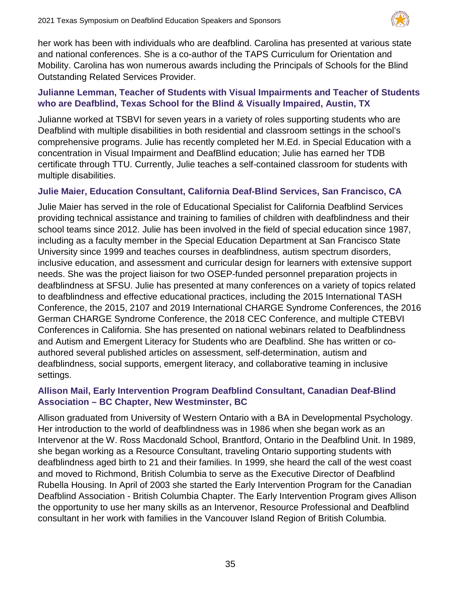

her work has been with individuals who are deafblind. Carolina has presented at various state and national conferences. She is a co-author of the TAPS Curriculum for Orientation and Mobility. Carolina has won numerous awards including the Principals of Schools for the Blind Outstanding Related Services Provider.

# **Julianne Lemman, Teacher of Students with Visual Impairments and Teacher of Students who are Deafblind, Texas School for the Blind & Visually Impaired, Austin, TX**

Julianne worked at TSBVI for seven years in a variety of roles supporting students who are Deafblind with multiple disabilities in both residential and classroom settings in the school's comprehensive programs. Julie has recently completed her M.Ed. in Special Education with a concentration in Visual Impairment and DeafBlind education; Julie has earned her TDB certificate through TTU. Currently, Julie teaches a self-contained classroom for students with multiple disabilities.

# **Julie Maier, Education Consultant, California Deaf-Blind Services, San Francisco, CA**

Julie Maier has served in the role of Educational Specialist for California Deafblind Services providing technical assistance and training to families of children with deafblindness and their school teams since 2012. Julie has been involved in the field of special education since 1987, including as a faculty member in the Special Education Department at San Francisco State University since 1999 and teaches courses in deafblindness, autism spectrum disorders, inclusive education, and assessment and curricular design for learners with extensive support needs. She was the project liaison for two OSEP-funded personnel preparation projects in deafblindness at SFSU. Julie has presented at many conferences on a variety of topics related to deafblindness and effective educational practices, including the 2015 International TASH Conference, the 2015, 2107 and 2019 International CHARGE Syndrome Conferences, the 2016 German CHARGE Syndrome Conference, the 2018 CEC Conference, and multiple CTEBVI Conferences in California. She has presented on national webinars related to Deafblindness and Autism and Emergent Literacy for Students who are Deafblind. She has written or coauthored several published articles on assessment, self-determination, autism and deafblindness, social supports, emergent literacy, and collaborative teaming in inclusive settings.

# **Allison Mail, Early Intervention Program Deafblind Consultant, Canadian Deaf-Blind Association – BC Chapter, New Westminster, BC**

Allison graduated from University of Western Ontario with a BA in Developmental Psychology. Her introduction to the world of deafblindness was in 1986 when she began work as an Intervenor at the W. Ross Macdonald School, Brantford, Ontario in the Deafblind Unit. In 1989, she began working as a Resource Consultant, traveling Ontario supporting students with deafblindness aged birth to 21 and their families. In 1999, she heard the call of the west coast and moved to Richmond, British Columbia to serve as the Executive Director of Deafblind Rubella Housing. In April of 2003 she started the Early Intervention Program for the Canadian Deafblind Association - British Columbia Chapter. The Early Intervention Program gives Allison the opportunity to use her many skills as an Intervenor, Resource Professional and Deafblind consultant in her work with families in the Vancouver Island Region of British Columbia.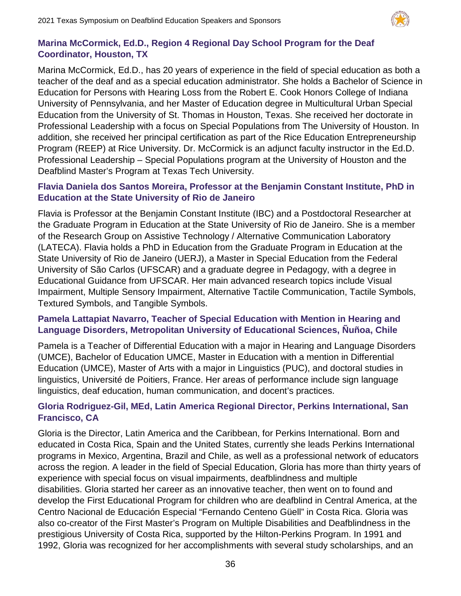

#### **Marina McCormick, Ed.D., Region 4 Regional Day School Program for the Deaf Coordinator, Houston, TX**

Marina McCormick, Ed.D., has 20 years of experience in the field of special education as both a teacher of the deaf and as a special education administrator. She holds a Bachelor of Science in Education for Persons with Hearing Loss from the Robert E. Cook Honors College of Indiana University of Pennsylvania, and her Master of Education degree in Multicultural Urban Special Education from the University of St. Thomas in Houston, Texas. She received her doctorate in Professional Leadership with a focus on Special Populations from The University of Houston. In addition, she received her principal certification as part of the Rice Education Entrepreneurship Program (REEP) at Rice University. Dr. McCormick is an adjunct faculty instructor in the Ed.D. Professional Leadership – Special Populations program at the University of Houston and the Deafblind Master's Program at Texas Tech University.

#### **Flavia Daniela dos Santos Moreira, Professor at the Benjamin Constant Institute, PhD in Education at the State University of Rio de Janeiro**

Flavia is Professor at the Benjamin Constant Institute (IBC) and a Postdoctoral Researcher at the Graduate Program in Education at the State University of Rio de Janeiro. She is a member of the Research Group on Assistive Technology / Alternative Communication Laboratory (LATECA). Flavia holds a PhD in Education from the Graduate Program in Education at the State University of Rio de Janeiro (UERJ), a Master in Special Education from the Federal University of São Carlos (UFSCAR) and a graduate degree in Pedagogy, with a degree in Educational Guidance from UFSCAR. Her main advanced research topics include Visual Impairment, Multiple Sensory Impairment, Alternative Tactile Communication, Tactile Symbols, Textured Symbols, and Tangible Symbols.

# **Pamela Lattapiat Navarro, Teacher of Special Education with Mention in Hearing and Language Disorders, Metropolitan University of Educational Sciences, Ñuñoa, Chile**

Pamela is a Teacher of Differential Education with a major in Hearing and Language Disorders (UMCE), Bachelor of Education UMCE, Master in Education with a mention in Differential Education (UMCE), Master of Arts with a major in Linguistics (PUC), and doctoral studies in linguistics, Université de Poitiers, France. Her areas of performance include sign language linguistics, deaf education, human communication, and docent's practices.

# **Gloria Rodriguez-Gil, MEd, Latin America Regional Director, Perkins International, San Francisco, CA**

Gloria is the Director, Latin America and the Caribbean, for Perkins International. Born and educated in Costa Rica, Spain and the United States, currently she leads Perkins International programs in Mexico, Argentina, Brazil and Chile, as well as a professional network of educators across the region. A leader in the field of Special Education, Gloria has more than thirty years of experience with special focus on visual impairments, deafblindness and multiple disabilities. Gloria started her career as an innovative teacher, then went on to found and develop the First Educational Program for children who are deafblind in Central America, at the Centro Nacional de Educación Especial "Fernando Centeno Güell" in Costa Rica. Gloria was also co-creator of the First Master's Program on Multiple Disabilities and Deafblindness in the prestigious University of Costa Rica, supported by the Hilton-Perkins Program. In 1991 and 1992, Gloria was recognized for her accomplishments with several study scholarships, and an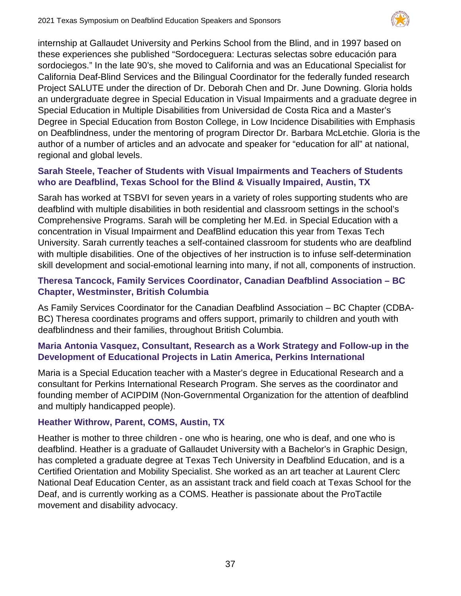

internship at Gallaudet University and Perkins School from the Blind, and in 1997 based on these experiences she published "Sordoceguera: Lecturas selectas sobre educación para sordociegos." In the late 90's, she moved to California and was an Educational Specialist for California Deaf-Blind Services and the Bilingual Coordinator for the federally funded research Project SALUTE under the direction of Dr. Deborah Chen and Dr. June Downing. Gloria holds an undergraduate degree in Special Education in Visual Impairments and a graduate degree in Special Education in Multiple Disabilities from Universidad de Costa Rica and a Master's Degree in Special Education from Boston College, in Low Incidence Disabilities with Emphasis on Deafblindness, under the mentoring of program Director Dr. Barbara McLetchie. Gloria is the author of a number of articles and an advocate and speaker for "education for all" at national, regional and global levels.

# **Sarah Steele, Teacher of Students with Visual Impairments and Teachers of Students who are Deafblind, Texas School for the Blind & Visually Impaired, Austin, TX**

Sarah has worked at TSBVI for seven years in a variety of roles supporting students who are deafblind with multiple disabilities in both residential and classroom settings in the school's Comprehensive Programs. Sarah will be completing her M.Ed. in Special Education with a concentration in Visual Impairment and DeafBlind education this year from Texas Tech University. Sarah currently teaches a self-contained classroom for students who are deafblind with multiple disabilities. One of the objectives of her instruction is to infuse self-determination skill development and social-emotional learning into many, if not all, components of instruction.

# **Theresa Tancock, Family Services Coordinator, Canadian Deafblind Association – BC Chapter, Westminster, British Columbia**

As Family Services Coordinator for the Canadian Deafblind Association – BC Chapter (CDBA-BC) Theresa coordinates programs and offers support, primarily to children and youth with deafblindness and their families, throughout British Columbia.

# **Maria Antonia Vasquez, Consultant, Research as a Work Strategy and Follow-up in the Development of Educational Projects in Latin America, Perkins International**

Maria is a Special Education teacher with a Master's degree in Educational Research and a consultant for Perkins International Research Program. She serves as the coordinator and founding member of ACIPDIM (Non-Governmental Organization for the attention of deafblind and multiply handicapped people).

# **Heather Withrow, Parent, COMS, Austin, TX**

Heather is mother to three children - one who is hearing, one who is deaf, and one who is deafblind. Heather is a graduate of Gallaudet University with a Bachelor's in Graphic Design, has completed a graduate degree at Texas Tech University in Deafblind Education, and is a Certified Orientation and Mobility Specialist. She worked as an art teacher at Laurent Clerc National Deaf Education Center, as an assistant track and field coach at Texas School for the Deaf, and is currently working as a COMS. Heather is passionate about the ProTactile movement and disability advocacy.